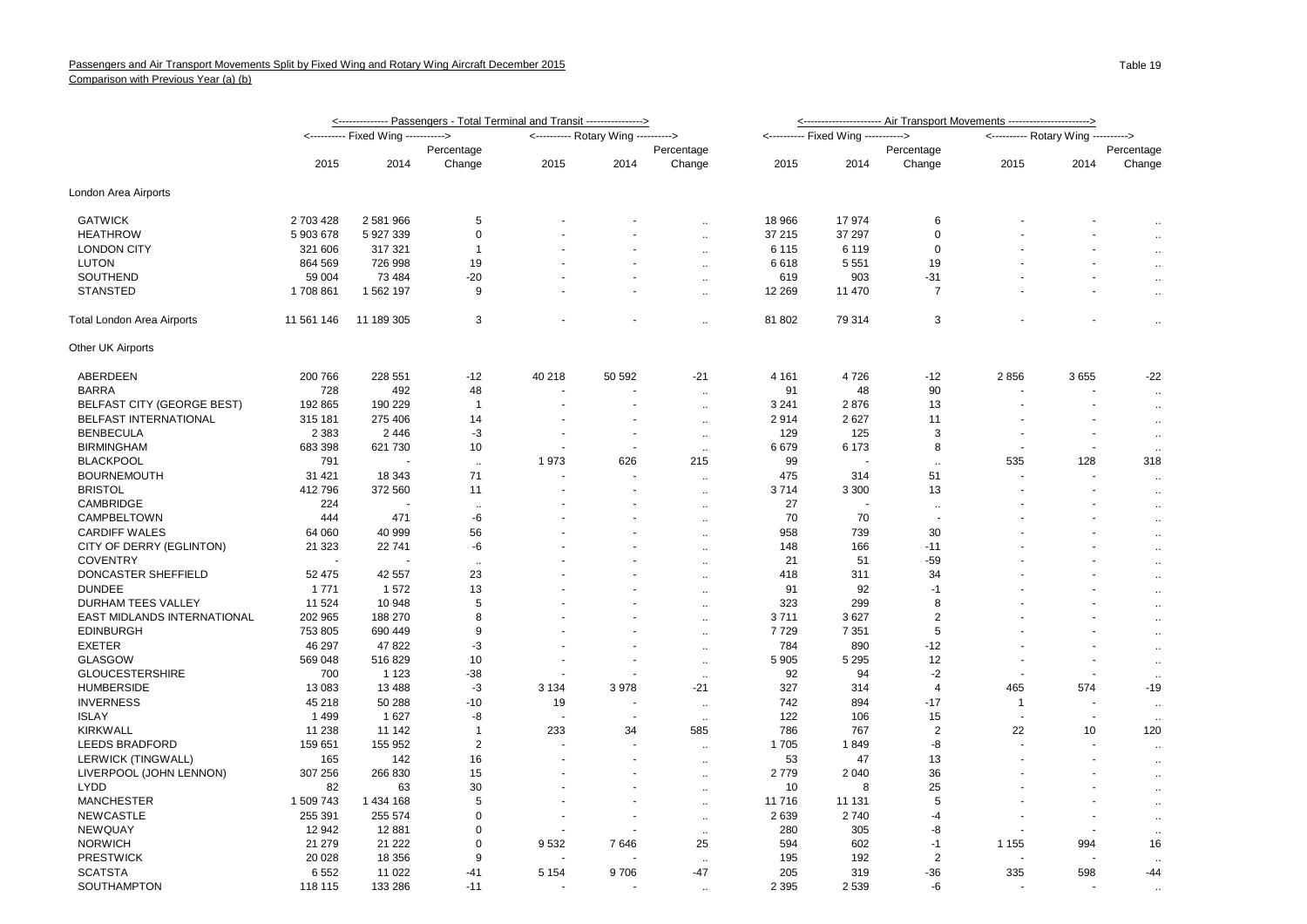|                                    | <u>&lt;--------------- Passengers - Total Terminal and Transit ----------------&gt;</u> | <--------------------- Air Transport Movements ----------------------> |                      |                                     |        |                             |         |                                     |                      |                                     |                          |                      |
|------------------------------------|-----------------------------------------------------------------------------------------|------------------------------------------------------------------------|----------------------|-------------------------------------|--------|-----------------------------|---------|-------------------------------------|----------------------|-------------------------------------|--------------------------|----------------------|
|                                    |                                                                                         | <---------- Fixed Wing ----------->                                    |                      | <---------- Rotary Wing ----------> |        |                             |         | <---------- Fixed Wing -----------> |                      | <---------- Rotary Wing ----------> |                          |                      |
|                                    |                                                                                         |                                                                        | Percentage           |                                     |        | Percentage                  |         |                                     | Percentage           |                                     |                          | Percentage           |
|                                    | 2015                                                                                    | 2014                                                                   | Change               | 2015                                | 2014   | Change                      | 2015    | 2014                                | Change               | 2015                                | 2014                     | Change               |
| London Area Airports               |                                                                                         |                                                                        |                      |                                     |        |                             |         |                                     |                      |                                     |                          |                      |
| <b>GATWICK</b>                     | 2 703 428                                                                               | 2 581 966                                                              | 5                    |                                     |        | $\ddot{\phantom{a}}$        | 18 966  | 17 974                              | 6                    |                                     |                          |                      |
| <b>HEATHROW</b>                    | 5 903 678                                                                               | 5 927 339                                                              | $\mathbf 0$          |                                     |        | $\ddotsc$                   | 37 215  | 37 297                              | 0                    |                                     |                          | $\ddotsc$            |
| <b>LONDON CITY</b>                 | 321 606                                                                                 | 317 321                                                                | -1                   |                                     |        | $\ddotsc$                   | 6 1 1 5 | 6 1 1 9                             | 0                    |                                     |                          | $\cdot$ .            |
| <b>LUTON</b>                       | 864 569                                                                                 | 726 998                                                                | 19                   |                                     |        | $\ddot{\phantom{1}}$        | 6618    | 5 5 5 1                             | 19                   |                                     |                          | $\cdot$ .            |
| SOUTHEND                           | 59 004                                                                                  | 73 4 84                                                                | $-20$                |                                     |        | $\ddotsc$                   | 619     | 903                                 | $-31$                |                                     | $\overline{\phantom{a}}$ | $\cdot$ .            |
| <b>STANSTED</b>                    | 1708861                                                                                 | 1 562 197                                                              | 9                    |                                     |        | $\ddot{\phantom{a}}$        | 12 2 69 | 11 470                              | $\overline{7}$       |                                     | ÷.                       | $\ddotsc$            |
| Total London Area Airports         | 11 561 146                                                                              | 11 189 305                                                             | 3                    |                                     |        | $\ddot{\phantom{a}}$        | 81 802  | 79 314                              | 3                    |                                     |                          | $\bar{z}$            |
| Other UK Airports                  |                                                                                         |                                                                        |                      |                                     |        |                             |         |                                     |                      |                                     |                          |                      |
| ABERDEEN                           | 200 766                                                                                 | 228 551                                                                | $-12$                | 40 218                              | 50 592 | $-21$                       | 4 1 6 1 | 4726                                | $-12$                | 2856                                | 3655                     | $-22$                |
| <b>BARRA</b>                       | 728                                                                                     | 492                                                                    | 48                   |                                     |        | $\ddot{\phantom{a}}$        | 91      | 48                                  | 90                   |                                     |                          | $\mathbf{r}$         |
| <b>BELFAST CITY (GEORGE BEST)</b>  | 192 865                                                                                 | 190 229                                                                | $\overline{1}$       | $\overline{\phantom{a}}$            |        | $\ddotsc$                   | 3 2 4 1 | 2876                                | 13                   |                                     |                          | $\cdot$ .            |
| <b>BELFAST INTERNATIONAL</b>       | 315 181                                                                                 | 275 406                                                                | 14                   |                                     |        | $\ddotsc$                   | 2914    | 2627                                | 11                   |                                     |                          | $\sim$               |
| <b>BENBECULA</b>                   | 2 3 8 3                                                                                 | 2 4 4 6                                                                | -3                   | $\ddot{\phantom{1}}$                |        | $\ddotsc$                   | 129     | 125                                 | 3                    |                                     |                          |                      |
| <b>BIRMINGHAM</b>                  | 683 398                                                                                 | 621 730                                                                | 10                   |                                     |        |                             | 6679    | 6 1 7 3                             | 8                    |                                     |                          | $\cdot$ .            |
| <b>BLACKPOOL</b>                   | 791                                                                                     |                                                                        |                      | 1973                                | 626    | $\ddot{\phantom{1}}$<br>215 | 99      |                                     |                      | 535                                 | 128                      | 318                  |
|                                    |                                                                                         |                                                                        | $\sim$<br>71         |                                     |        |                             |         |                                     | $\ddotsc$            |                                     |                          |                      |
| <b>BOURNEMOUTH</b>                 | 31 4 21                                                                                 | 18 343                                                                 |                      |                                     |        | $\ddot{\phantom{a}}$        | 475     | 314                                 | 51                   |                                     |                          | $\ddot{\phantom{a}}$ |
| <b>BRISTOL</b>                     | 412 796                                                                                 | 372 560                                                                | 11                   |                                     |        | $\ddot{\phantom{a}}$        | 3714    | 3 3 0 0                             | 13                   |                                     |                          | $\ddotsc$            |
| CAMBRIDGE                          | 224                                                                                     |                                                                        | $\ddot{\phantom{a}}$ |                                     |        | $\ddotsc$                   | 27      |                                     | $\ddot{\phantom{a}}$ |                                     |                          | $\cdot$ .            |
| CAMPBELTOWN                        | 444                                                                                     | 471                                                                    | -6                   |                                     |        | $\ddotsc$                   | 70      | 70                                  |                      |                                     |                          | $\ddotsc$            |
| <b>CARDIFF WALES</b>               | 64 060                                                                                  | 40 999                                                                 | 56                   |                                     |        | $\ddot{\phantom{a}}$        | 958     | 739                                 | 30                   |                                     |                          | $\ddot{\phantom{1}}$ |
| CITY OF DERRY (EGLINTON)           | 21 3 23                                                                                 | 22 741                                                                 | -6                   |                                     |        | $\ddot{\phantom{a}}$        | 148     | 166                                 | $-11$                |                                     |                          | $\cdot$ .            |
| <b>COVENTRY</b>                    |                                                                                         |                                                                        | $\ddotsc$            |                                     |        | $\ddotsc$                   | 21      | 51                                  | $-59$                |                                     |                          | $\ddotsc$            |
| DONCASTER SHEFFIELD                | 52 475                                                                                  | 42 557                                                                 | 23                   |                                     |        | $\ddot{\phantom{a}}$        | 418     | 311                                 | 34                   |                                     |                          | $\cdot$ .            |
| <b>DUNDEE</b>                      | 1 7 7 1                                                                                 | 1572                                                                   | 13                   |                                     |        | $\ddot{\phantom{a}}$        | 91      | 92                                  | -1                   |                                     |                          | $\ddotsc$            |
| DURHAM TEES VALLEY                 | 11 524                                                                                  | 10 948                                                                 | 5                    |                                     |        | $\ddot{\phantom{a}}$        | 323     | 299                                 | 8                    |                                     |                          | $\cdot$ .            |
| <b>EAST MIDLANDS INTERNATIONAL</b> | 202 965                                                                                 | 188 270                                                                | 8                    |                                     |        | $\ddotsc$                   | 3711    | 3627                                | $\overline{2}$       |                                     |                          | $\cdot$ .            |
| <b>EDINBURGH</b>                   | 753 805                                                                                 | 690 449                                                                | 9                    |                                     |        | $\ddot{\phantom{a}}$        | 7729    | 7 3 5 1                             | 5                    |                                     |                          | $\cdot$ .            |
| <b>EXETER</b>                      | 46 297                                                                                  | 47 822                                                                 | -3                   |                                     |        | $\ddot{\phantom{a}}$        | 784     | 890                                 | $-12$                |                                     |                          | $\ddotsc$            |
| <b>GLASGOW</b>                     | 569 048                                                                                 | 516829                                                                 | 10                   |                                     |        | $\mathcal{L}_{\mathcal{A}}$ | 5 9 0 5 | 5 2 9 5                             | 12                   |                                     |                          | $\ddotsc$            |
| <b>GLOUCESTERSHIRE</b>             | 700                                                                                     | 1 1 2 3                                                                | $-38$                |                                     |        | $\ddotsc$                   | 92      | 94                                  | $-2$                 |                                     |                          | $\ddotsc$            |
| <b>HUMBERSIDE</b>                  | 13 083                                                                                  | 13 4 88                                                                | $-3$                 | 3 1 3 4                             | 3978   | $-21$                       | 327     | 314                                 | $\overline{4}$       | 465                                 | 574                      | $-19$                |
| <b>INVERNESS</b>                   | 45 218                                                                                  | 50 288                                                                 | $-10$                | 19                                  |        | $\ddotsc$                   | 742     | 894                                 | $-17$                | $\mathbf{1}$                        |                          | $\ddotsc$            |
| <b>ISLAY</b>                       | 1499                                                                                    | 1627                                                                   | -8                   |                                     |        | $\ddot{\phantom{1}}$        | 122     | 106                                 | 15                   |                                     |                          |                      |
| <b>KIRKWALL</b>                    | 11 238                                                                                  | 11 142                                                                 | $\overline{1}$       | 233                                 | 34     | 585                         | 786     | 767                                 | $\overline{2}$       | 22                                  | 10                       | 120                  |
| <b>LEEDS BRADFORD</b>              | 159 651                                                                                 | 155 952                                                                | $\overline{2}$       |                                     |        | $\ddot{\phantom{a}}$        | 1705    | 1849                                | -8                   |                                     |                          | $\ddot{\phantom{a}}$ |
| LERWICK (TINGWALL)                 | 165                                                                                     | 142                                                                    | 16                   |                                     |        | $\ddotsc$                   | 53      | 47                                  | 13                   |                                     |                          | $\ddotsc$            |
| LIVERPOOL (JOHN LENNON)            | 307 256                                                                                 | 266 830                                                                | 15                   |                                     |        |                             | 2779    | 2 0 4 0                             | 36                   |                                     |                          |                      |
| <b>LYDD</b>                        | 82                                                                                      | 63                                                                     | 30                   |                                     |        | $\ddot{\phantom{a}}$        | 10      | 8                                   | 25                   |                                     |                          | $\ddot{\phantom{a}}$ |
| <b>MANCHESTER</b>                  | 1 509 743                                                                               | 1 434 168                                                              | 5                    |                                     |        | $\ddotsc$                   | 11 716  | 11 131                              | 5                    |                                     |                          | $\ddotsc$            |
|                                    |                                                                                         |                                                                        |                      |                                     |        | $\ddot{\phantom{1}}$        |         |                                     |                      |                                     |                          | $\ddot{\phantom{1}}$ |
| <b>NEWCASTLE</b>                   | 255 391                                                                                 | 255 574                                                                | $\mathbf 0$          | $\blacksquare$                      |        | $\ddotsc$                   | 2639    | 2740                                | $-4$                 |                                     |                          | $\ddotsc$            |
| NEWQUAY                            | 12 942                                                                                  | 12 881                                                                 | $\mathbf 0$          |                                     |        | $\ddotsc$                   | 280     | 305                                 | -8                   |                                     |                          | $\ddotsc$            |
| <b>NORWICH</b>                     | 21 279                                                                                  | 21 2 22                                                                | 0                    | 9532                                | 7646   | 25                          | 594     | 602                                 | $-1$                 | 1 1 5 5                             | 994                      | 16                   |
| <b>PRESTWICK</b>                   | 20 0 28                                                                                 | 18 356                                                                 | 9                    |                                     |        |                             | 195     | 192                                 | 2                    |                                     |                          |                      |
| <b>SCATSTA</b>                     | 6552                                                                                    | 11 0 22                                                                | $-41$                | 5 1 5 4                             | 9706   | $-47$                       | 205     | 319                                 | $-36$                | 335                                 | 598                      | $-44$                |
| SOUTHAMPTON                        | 118 115                                                                                 | 133 286                                                                | $-11$                |                                     |        |                             | 2 3 9 5 | 2539                                | -6                   |                                     |                          |                      |